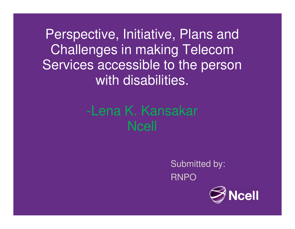Perspective, Initiative, Plans and Challenges in making Telecom Services accessible to the person with disabilities.

# -Lena K. KansakarNcell

Submitted by:RNPO

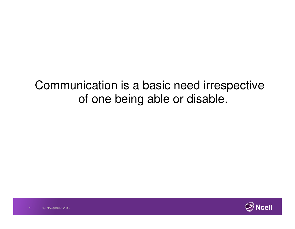## Communication is a basic need irrespective of one being able or disable.

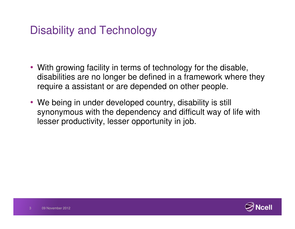### Disability and Technology

- With growing facility in terms of technology for the disable, disabilities are no longer be defined in a framework where they require a assistant or are depended on other people.
- We being in under developed country, disability is still synonymous with the dependency and difficult way of life with lesser productivity, lesser opportunity in job.

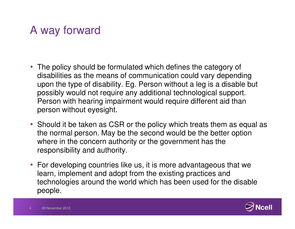### A way forward

- The policy should be formulated which defines the category of disabilities as the means of communication could vary depending upon the type of disability. Eg. Person without a leg is a disable but possibly would not require any additional technological support. Person with hearing impairment would require different aid than person without eyesight.
- Should it be taken as CSR or the policy which treats them as equal as the normal person. May be the second would be the better option where in the concern authority or the government has the responsibility and authority.
- For developing countries like us, it is more advantageous that we learn, implement and adopt from the existing practices and technologies around the world which has been used for the disable people.

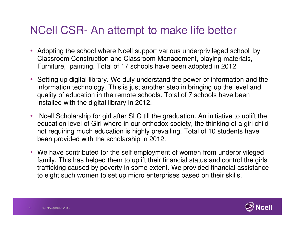#### NCell CSR- An attempt to make life better

- Adopting the school where Ncell support various underprivileged school by Classroom Construction and Classroom Management, playing materials, Furniture, painting. Total of 17 schools have been adopted in 2012.
- Setting up digital library. We duly understand the power of information and the information technology. This is just another step in bringing up the level and quality of education in the remote schools. Total of 7 schools have been installed with the digital library in 2012.
- $\bullet$  Ncell Scholarship for girl after SLC till the graduation. An initiative to uplift the education level of Girl where in our orthodox society, the thinking of a girl child not requiring much education is highly prevailing. Total of 10 students have been provided with the scholarship in 2012.
- We have contributed for the self employment of women from underprivileged family. This has helped them to uplift their financial status and control the girls trafficking caused by poverty in some extent. We provided financial assistance to eight such women to set up micro enterprises based on their skills.